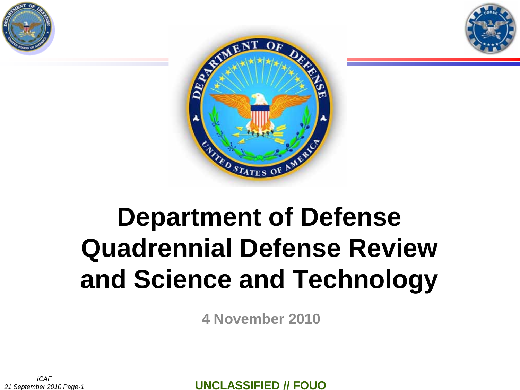





# **Department of Defense Quadrennial Defense Review and Science and Technology**

**4 November 2010**

*ICAF 21 September 2010 Page-1*

**UNCLASSIFIED // FOUO**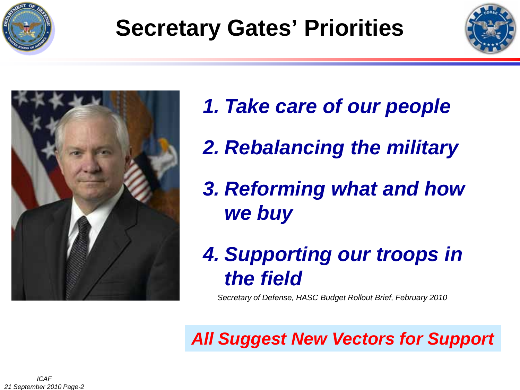

# **Secretary Gates' Priorities**





- *1. Take care of our people*
- *2. Rebalancing the military*
- *3. Reforming what and how we buy*
- *4. Supporting our troops in the field*

*Secretary of Defense, HASC Budget Rollout Brief, February 2010*

*All Suggest New Vectors for Support*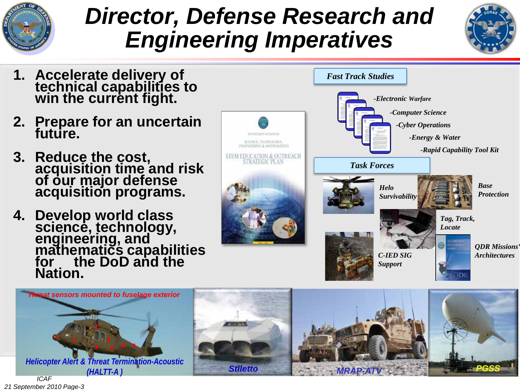

### *Director, Defense Research and Engineering Imperatives*







*ICAF 21 September 2010 Page-3*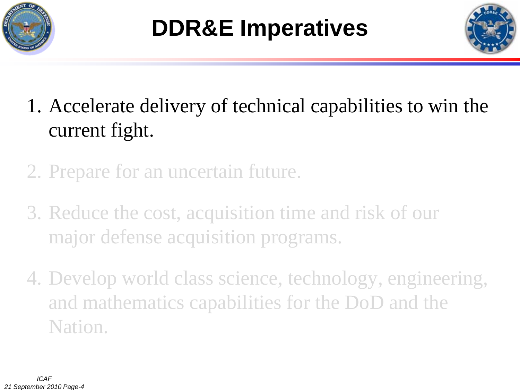



- 1. Accelerate delivery of technical capabilities to win the current fight.
- 2. Prepare for an uncertain future.
- 3. Reduce the cost, acquisition time and risk of our major defense acquisition programs.
- 4. Develop world class science, technology, engineering, and mathematics capabilities for the DoD and the Nation.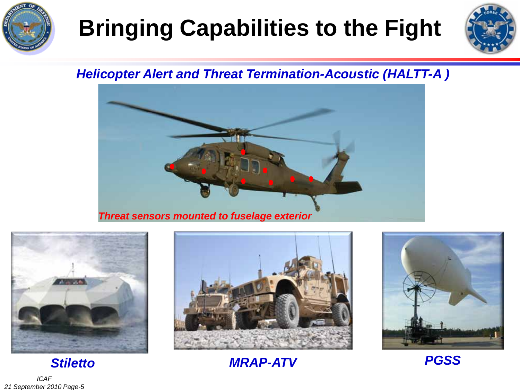

# **Bringing Capabilities to the Fight**



#### *Helicopter Alert and Threat Termination-Acoustic (HALTT-A )*







*MRAP-ATV*



*PGSS*

*ICAF 21 September 2010 Page-5*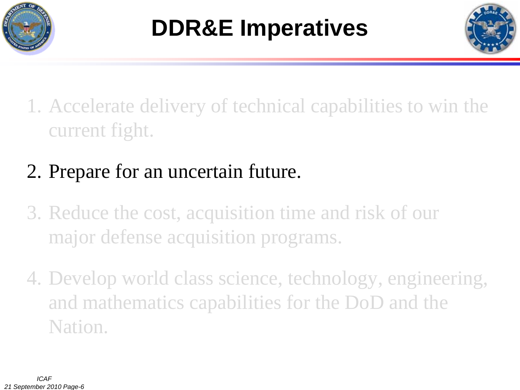



- 1. Accelerate delivery of technical capabilities to win the current fight.
- 2. Prepare for an uncertain future.
- 3. Reduce the cost, acquisition time and risk of our major defense acquisition programs.
- 4. Develop world class science, technology, engineering, and mathematics capabilities for the DoD and the Nation.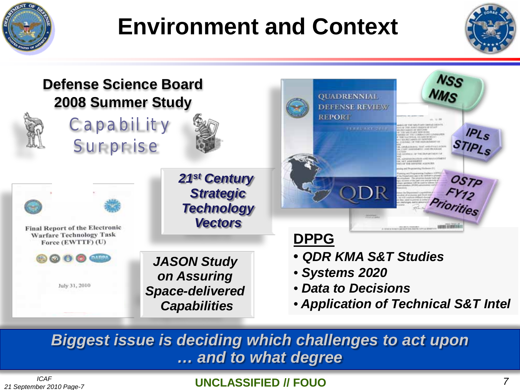

## **Environment and Context**





*Biggest issue is deciding which challenges to act upon … and to what degree*

#### **UNCLASSIFIED // FOUO**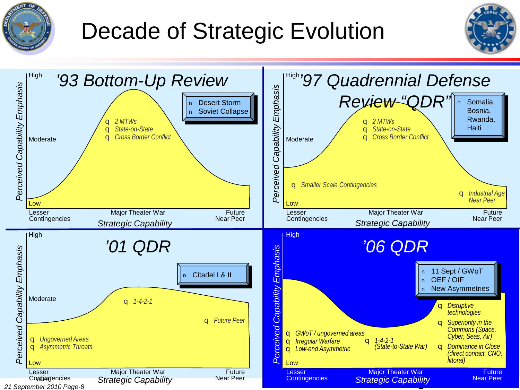

## Decade of Strategic Evolution



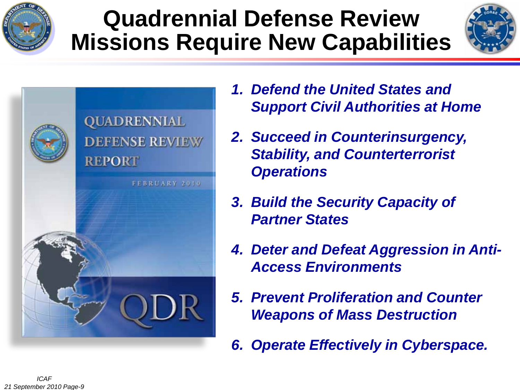

### **Quadrennial Defense Review Missions Require New Capabilities**





- *1. Defend the United States and Support Civil Authorities at Home*
- *2. Succeed in Counterinsurgency, Stability, and Counterterrorist Operations*
- *3. Build the Security Capacity of Partner States*
- *4. Deter and Defeat Aggression in Anti-Access Environments*
- *5. Prevent Proliferation and Counter Weapons of Mass Destruction*
- *6. Operate Effectively in Cyberspace.*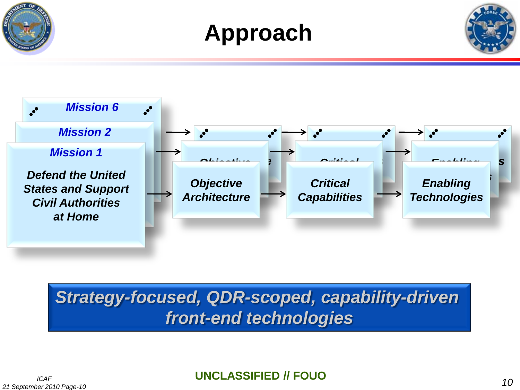







#### *Strategy-focused, QDR-scoped, capability-driven front-end technologies*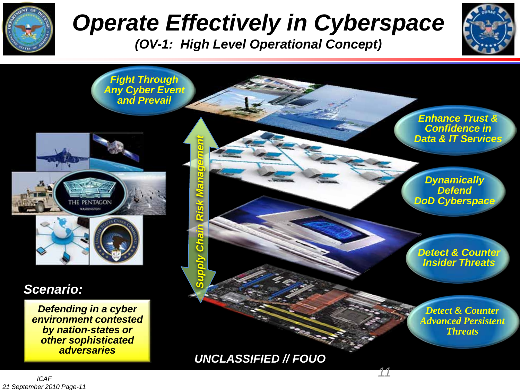

# *Operate Effectively in Cyberspace*

*(OV-1: High Level Operational Concept)*





*UNCLASSIFIED // FOUO*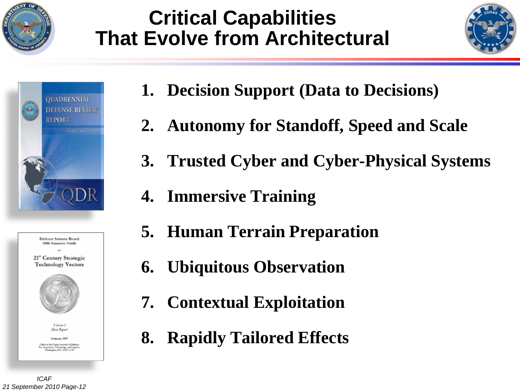

#### **Critical Capabilities That Evolve from Architectural**





| Defense Science Board<br>2006 Summer Study<br>dict<br>21" Century Strategic<br><b>Technology Vectors</b>             |
|----------------------------------------------------------------------------------------------------------------------|
|                                                                                                                      |
| Value I<br>Main Report                                                                                               |
| February 2007                                                                                                        |
| Offices of the Under Senators of Definites<br>For Angulation, Technology, and Logistics<br>Geologyne, D.C. 2001-2140 |

- **1. Decision Support (Data to Decisions)**
- **2. Autonomy for Standoff, Speed and Scale**
- **3. Trusted Cyber and Cyber-Physical Systems**
- **4. Immersive Training**
- **5. Human Terrain Preparation**
- **6. Ubiquitous Observation**
- **7. Contextual Exploitation**
- **8. Rapidly Tailored Effects**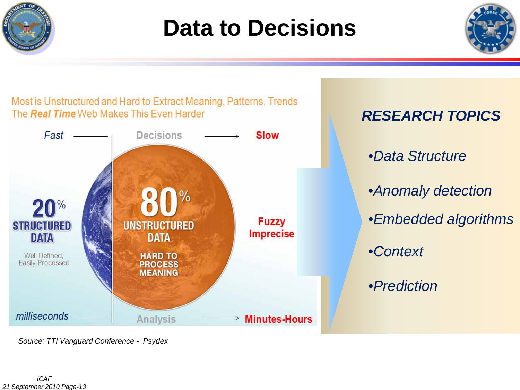

### **Data to Decisions**





*Source: TTI Vanguard Conference - Psydex*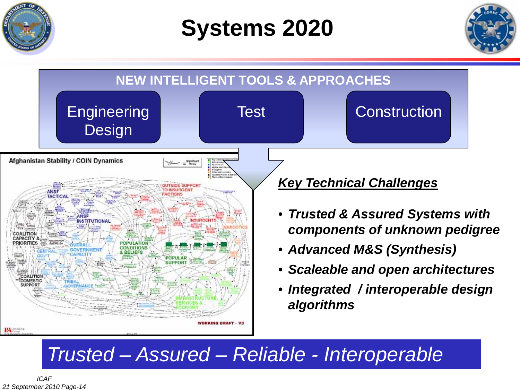

**Systems 2020**





#### *Trusted – Assured – Reliable - Interoperable*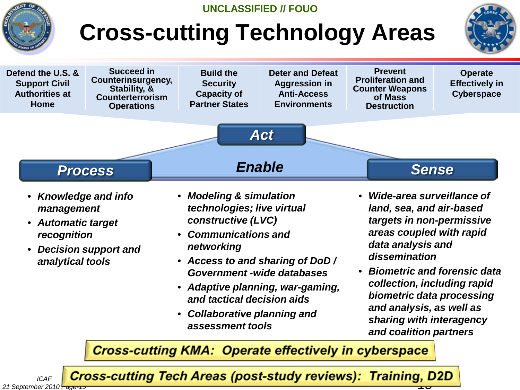

- *Knowledge and info management*
- *Automatic target recognition*

*ICAF*

*21 September 2010 Page-15*

- *Decision support and analytical tools*
- *Modeling & simulation technologies; live virtual constructive (LVC)*
- *Communications and networking*
- *Access to and sharing of DoD / Government -wide databases*
- *Adaptive planning, war-gaming, and tactical decision aids*
- *Collaborative planning and assessment tools*
- *Wide-area surveillance of land, sea, and air-based targets in non-permissive areas coupled with rapid data analysis and dissemination*
- *Biometric and forensic data collection, including rapid biometric data processing and analysis, as well as sharing with interagency and coalition partners*

**Cross-cutting KMA: Operate effectively in cyberspace** 

**Cross-cutting Tech Areas (post-study reviews): Training, D2D**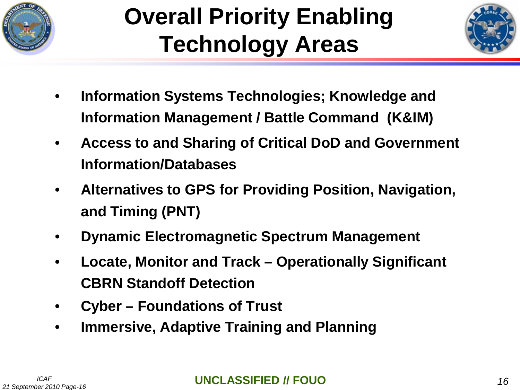

# **Overall Priority Enabling Technology Areas**



- **Information Systems Technologies; Knowledge and Information Management / Battle Command (K&IM)**
- **Access to and Sharing of Critical DoD and Government Information/Databases**
- **Alternatives to GPS for Providing Position, Navigation, and Timing (PNT)**
- **Dynamic Electromagnetic Spectrum Management**
- **Locate, Monitor and Track – Operationally Significant CBRN Standoff Detection**
- **Cyber – Foundations of Trust**
- **Immersive, Adaptive Training and Planning**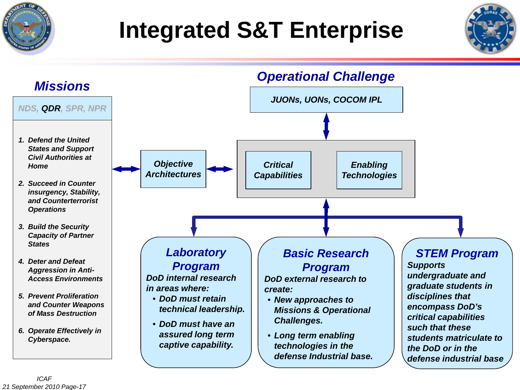

# **Integrated S&T Enterprise**



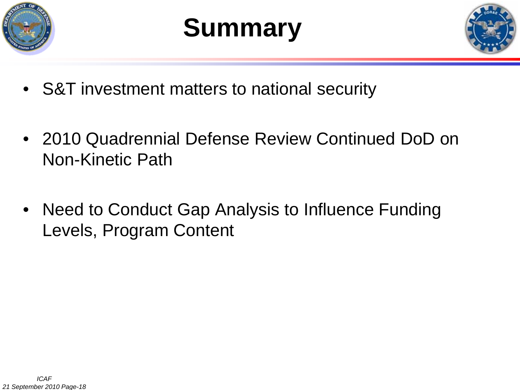

# **Summary**



- S&T investment matters to national security
- 2010 Quadrennial Defense Review Continued DoD on Non-Kinetic Path
- Need to Conduct Gap Analysis to Influence Funding Levels, Program Content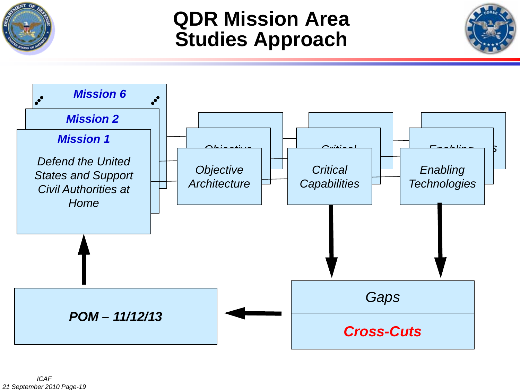

#### **QDR Mission Area Studies Approach**



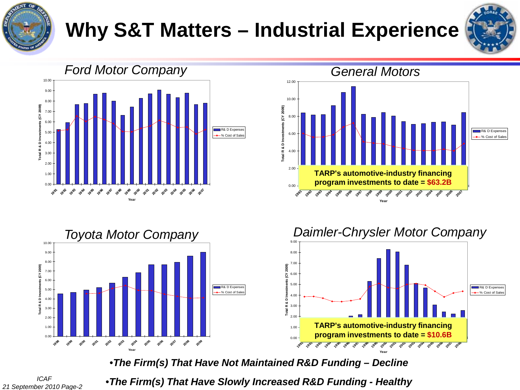

### **Why S&T Matters – Industrial Experience**









•*The Firm(s) That Have Not Maintained R&D Funding – Decline*

*ICAF 21 September 2010 Page-20* •*The Firm(s) That Have Slowly Increased R&D Funding - Healthy*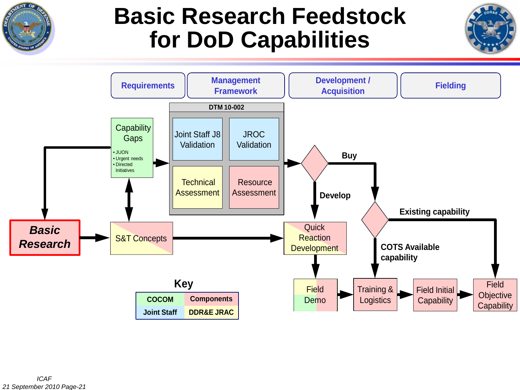

#### **Basic Research Feedstock for DoD Capabilities**

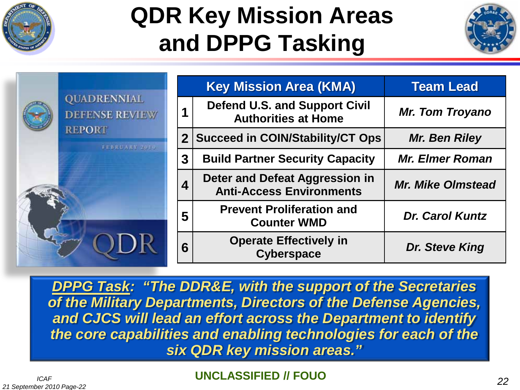

## **QDR Key Mission Areas and DPPG Tasking**



|                                             |                | <b>Key Mission Area (KMA)</b>                                      | <b>Team Lead</b>         |  |  |
|---------------------------------------------|----------------|--------------------------------------------------------------------|--------------------------|--|--|
| <b>QUADRENNIAL</b><br><b>DEFENSE REVIEW</b> |                | <b>Defend U.S. and Support Civil</b><br><b>Authorities at Home</b> | <b>Mr. Tom Troyano</b>   |  |  |
| <b>REPORT</b><br>FEBRUARY 2010              | $\overline{2}$ | <b>Succeed in COIN/Stability/CT Ops</b>                            | <b>Mr. Ben Riley</b>     |  |  |
|                                             | 3              | <b>Build Partner Security Capacity</b>                             | <b>Mr. Elmer Roman</b>   |  |  |
|                                             | 4              | Deter and Defeat Aggression in<br><b>Anti-Access Environments</b>  | <b>Mr. Mike Olmstead</b> |  |  |
|                                             | 5              | <b>Prevent Proliferation and</b><br><b>Counter WMD</b>             | <b>Dr. Carol Kuntz</b>   |  |  |
|                                             | 6              | <b>Operate Effectively in</b><br><b>Cyberspace</b>                 | Dr. Steve King           |  |  |

*DPPG Task: "The DDR&E, with the support of the Secretaries of the Military Departments, Directors of the Defense Agencies, and CJCS will lead an effort across the Department to identify the core capabilities and enabling technologies for each of the six QDR key mission areas."*